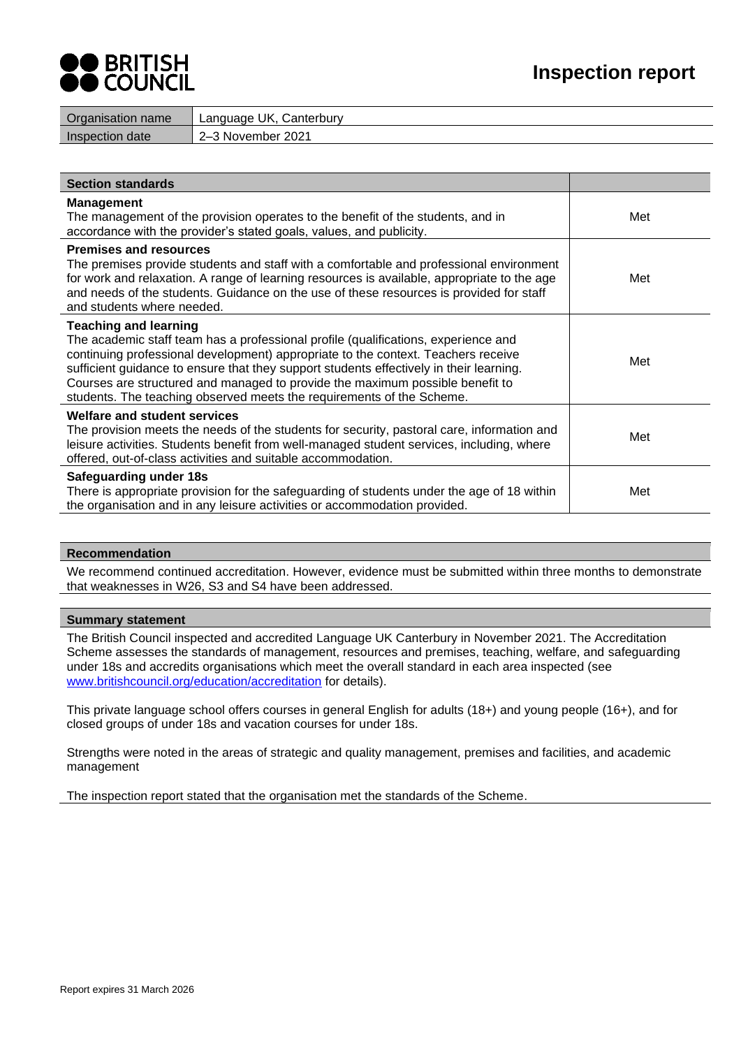# **DERITISH<br>COUNCIL**

| Organisation name      | Language UK, Canterbury |
|------------------------|-------------------------|
| <b>Inspection date</b> | 2–3 November 2021       |
|                        |                         |

| <b>Section standards</b>                                                                                                                                                                                                                                                                                                                                                                                                                                     |     |
|--------------------------------------------------------------------------------------------------------------------------------------------------------------------------------------------------------------------------------------------------------------------------------------------------------------------------------------------------------------------------------------------------------------------------------------------------------------|-----|
| <b>Management</b><br>The management of the provision operates to the benefit of the students, and in<br>accordance with the provider's stated goals, values, and publicity.                                                                                                                                                                                                                                                                                  | Met |
| <b>Premises and resources</b><br>The premises provide students and staff with a comfortable and professional environment<br>for work and relaxation. A range of learning resources is available, appropriate to the age<br>and needs of the students. Guidance on the use of these resources is provided for staff<br>and students where needed.                                                                                                             | Met |
| <b>Teaching and learning</b><br>The academic staff team has a professional profile (qualifications, experience and<br>continuing professional development) appropriate to the context. Teachers receive<br>sufficient guidance to ensure that they support students effectively in their learning.<br>Courses are structured and managed to provide the maximum possible benefit to<br>students. The teaching observed meets the requirements of the Scheme. | Met |
| Welfare and student services<br>The provision meets the needs of the students for security, pastoral care, information and<br>leisure activities. Students benefit from well-managed student services, including, where<br>offered, out-of-class activities and suitable accommodation.                                                                                                                                                                      | Met |
| Safeguarding under 18s<br>There is appropriate provision for the safeguarding of students under the age of 18 within<br>the organisation and in any leisure activities or accommodation provided.                                                                                                                                                                                                                                                            | Met |

# **Recommendation**

We recommend continued accreditation. However, evidence must be submitted within three months to demonstrate that weaknesses in W26, S3 and S4 have been addressed.

# **Summary statement**

The British Council inspected and accredited Language UK Canterbury in November 2021. The Accreditation Scheme assesses the standards of management, resources and premises, teaching, welfare, and safeguarding under 18s and accredits organisations which meet the overall standard in each area inspected (see [www.britishcouncil.org/education/accreditation](http://www.britishcouncil.org/education/accreditation) for details).

This private language school offers courses in general English for adults (18+) and young people (16+), and for closed groups of under 18s and vacation courses for under 18s.

Strengths were noted in the areas of strategic and quality management, premises and facilities, and academic management

The inspection report stated that the organisation met the standards of the Scheme.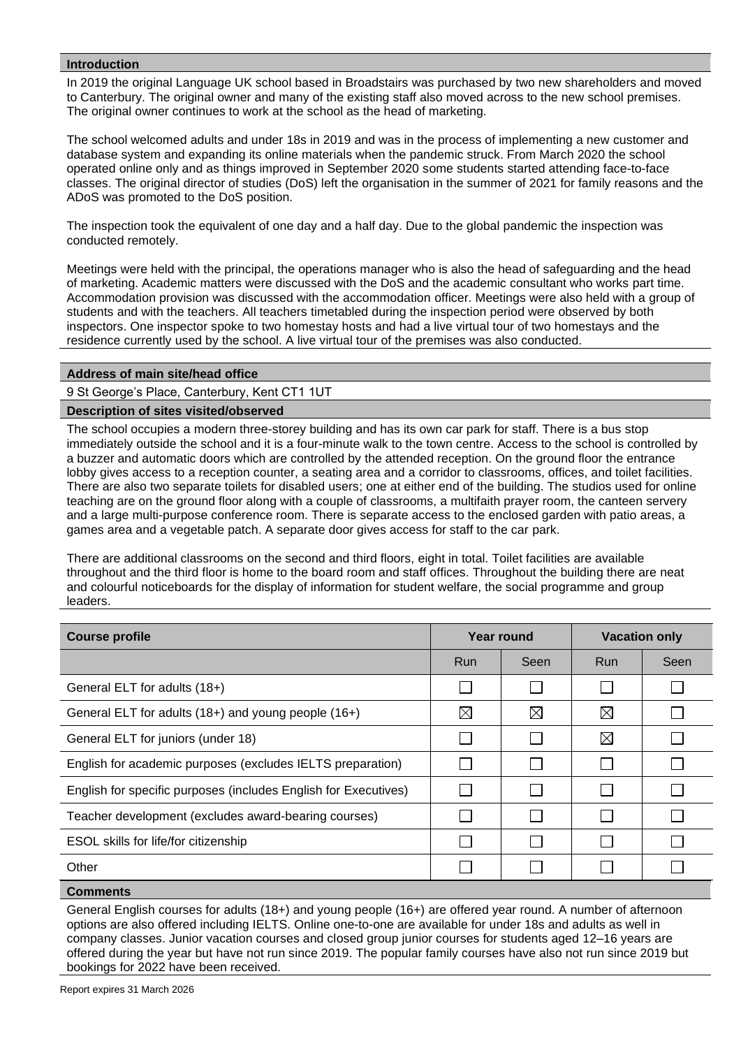# **Introduction**

In 2019 the original Language UK school based in Broadstairs was purchased by two new shareholders and moved to Canterbury. The original owner and many of the existing staff also moved across to the new school premises. The original owner continues to work at the school as the head of marketing.

The school welcomed adults and under 18s in 2019 and was in the process of implementing a new customer and database system and expanding its online materials when the pandemic struck. From March 2020 the school operated online only and as things improved in September 2020 some students started attending face-to-face classes. The original director of studies (DoS) left the organisation in the summer of 2021 for family reasons and the ADoS was promoted to the DoS position.

The inspection took the equivalent of one day and a half day. Due to the global pandemic the inspection was conducted remotely.

Meetings were held with the principal, the operations manager who is also the head of safeguarding and the head of marketing. Academic matters were discussed with the DoS and the academic consultant who works part time. Accommodation provision was discussed with the accommodation officer. Meetings were also held with a group of students and with the teachers. All teachers timetabled during the inspection period were observed by both inspectors. One inspector spoke to two homestay hosts and had a live virtual tour of two homestays and the residence currently used by the school. A live virtual tour of the premises was also conducted.

# **Address of main site/head office**

9 St George's Place, Canterbury, Kent CT1 1UT

# **Description of sites visited/observed**

The school occupies a modern three-storey building and has its own car park for staff. There is a bus stop immediately outside the school and it is a four-minute walk to the town centre. Access to the school is controlled by a buzzer and automatic doors which are controlled by the attended reception. On the ground floor the entrance lobby gives access to a reception counter, a seating area and a corridor to classrooms, offices, and toilet facilities. There are also two separate toilets for disabled users; one at either end of the building. The studios used for online teaching are on the ground floor along with a couple of classrooms, a multifaith prayer room, the canteen servery and a large multi-purpose conference room. There is separate access to the enclosed garden with patio areas, a games area and a vegetable patch. A separate door gives access for staff to the car park.

There are additional classrooms on the second and third floors, eight in total. Toilet facilities are available throughout and the third floor is home to the board room and staff offices. Throughout the building there are neat and colourful noticeboards for the display of information for student welfare, the social programme and group leaders.

| <b>Course profile</b>                                           |             | Year round  | <b>Vacation only</b> |      |
|-----------------------------------------------------------------|-------------|-------------|----------------------|------|
|                                                                 | <b>Run</b>  | Seen        | <b>Run</b>           | Seen |
| General ELT for adults (18+)                                    |             |             |                      |      |
| General ELT for adults (18+) and young people (16+)             | $\boxtimes$ | $\boxtimes$ | $\boxtimes$          |      |
| General ELT for juniors (under 18)                              |             |             | $\boxtimes$          |      |
| English for academic purposes (excludes IELTS preparation)      |             |             |                      |      |
| English for specific purposes (includes English for Executives) |             |             |                      |      |
| Teacher development (excludes award-bearing courses)            |             |             |                      |      |
| ESOL skills for life/for citizenship                            |             |             |                      |      |
| Other                                                           |             |             |                      |      |
|                                                                 |             |             |                      |      |

# **Comments**

General English courses for adults (18+) and young people (16+) are offered year round. A number of afternoon options are also offered including IELTS. Online one-to-one are available for under 18s and adults as well in company classes. Junior vacation courses and closed group junior courses for students aged 12–16 years are offered during the year but have not run since 2019. The popular family courses have also not run since 2019 but bookings for 2022 have been received.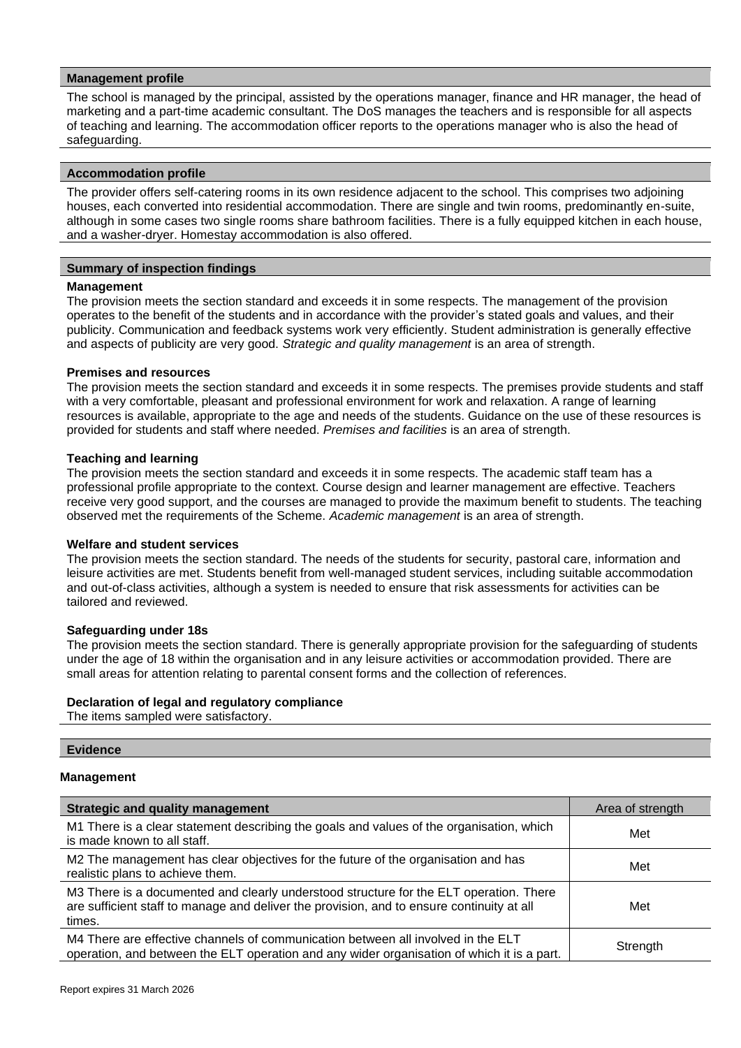## **Management profile**

The school is managed by the principal, assisted by the operations manager, finance and HR manager, the head of marketing and a part-time academic consultant. The DoS manages the teachers and is responsible for all aspects of teaching and learning. The accommodation officer reports to the operations manager who is also the head of safeguarding.

#### **Accommodation profile**

The provider offers self-catering rooms in its own residence adjacent to the school. This comprises two adjoining houses, each converted into residential accommodation. There are single and twin rooms, predominantly en-suite, although in some cases two single rooms share bathroom facilities. There is a fully equipped kitchen in each house, and a washer-dryer. Homestay accommodation is also offered.

## **Summary of inspection findings**

## **Management**

The provision meets the section standard and exceeds it in some respects. The management of the provision operates to the benefit of the students and in accordance with the provider's stated goals and values, and their publicity. Communication and feedback systems work very efficiently. Student administration is generally effective and aspects of publicity are very good. *Strategic and quality management* is an area of strength.

## **Premises and resources**

The provision meets the section standard and exceeds it in some respects. The premises provide students and staff with a very comfortable, pleasant and professional environment for work and relaxation. A range of learning resources is available, appropriate to the age and needs of the students. Guidance on the use of these resources is provided for students and staff where needed. *Premises and facilities* is an area of strength.

## **Teaching and learning**

The provision meets the section standard and exceeds it in some respects. The academic staff team has a professional profile appropriate to the context. Course design and learner management are effective. Teachers receive very good support, and the courses are managed to provide the maximum benefit to students. The teaching observed met the requirements of the Scheme. *Academic management* is an area of strength.

# **Welfare and student services**

The provision meets the section standard. The needs of the students for security, pastoral care, information and leisure activities are met. Students benefit from well-managed student services, including suitable accommodation and out-of-class activities, although a system is needed to ensure that risk assessments for activities can be tailored and reviewed.

# **Safeguarding under 18s**

The provision meets the section standard. There is generally appropriate provision for the safeguarding of students under the age of 18 within the organisation and in any leisure activities or accommodation provided. There are small areas for attention relating to parental consent forms and the collection of references.

# **Declaration of legal and regulatory compliance**

The items sampled were satisfactory.

#### **Evidence**

#### **Management**

| <b>Strategic and quality management</b>                                                                                                                                                       | Area of strength |
|-----------------------------------------------------------------------------------------------------------------------------------------------------------------------------------------------|------------------|
| M1 There is a clear statement describing the goals and values of the organisation, which<br>is made known to all staff.                                                                       | Met              |
| M2 The management has clear objectives for the future of the organisation and has<br>realistic plans to achieve them.                                                                         | Met              |
| M3 There is a documented and clearly understood structure for the ELT operation. There<br>are sufficient staff to manage and deliver the provision, and to ensure continuity at all<br>times. | Met              |
| M4 There are effective channels of communication between all involved in the ELT<br>operation, and between the ELT operation and any wider organisation of which it is a part.                | Strength         |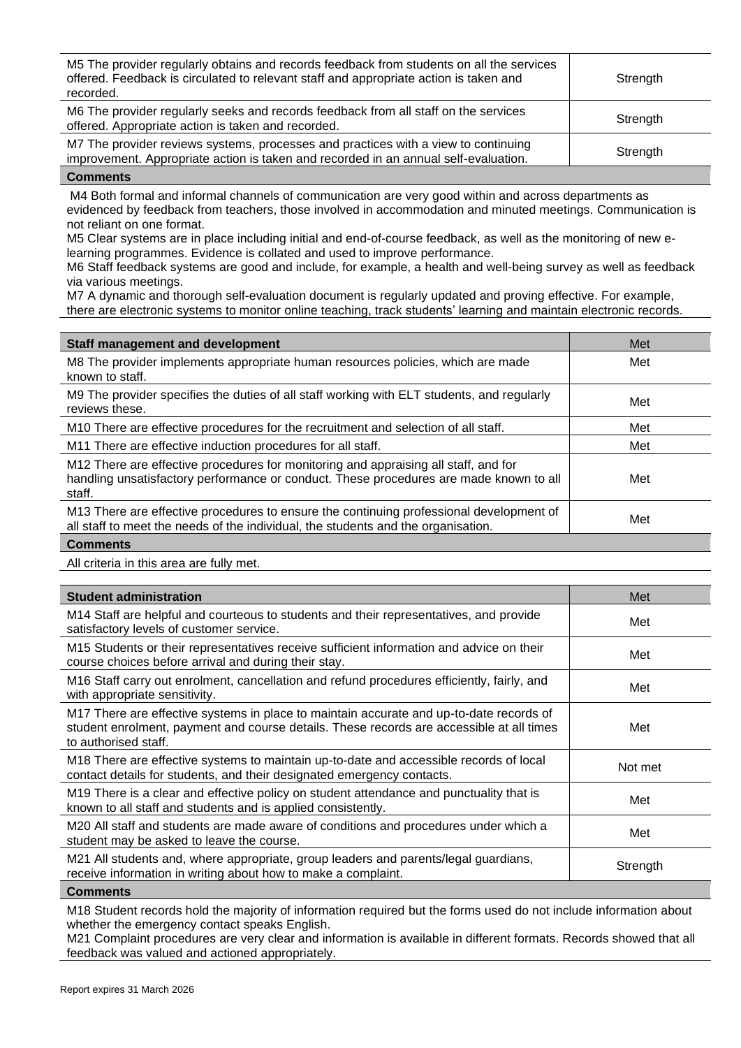| M5 The provider regularly obtains and records feedback from students on all the services<br>offered. Feedback is circulated to relevant staff and appropriate action is taken and<br>recorded. | Strength |
|------------------------------------------------------------------------------------------------------------------------------------------------------------------------------------------------|----------|
| M6 The provider regularly seeks and records feedback from all staff on the services<br>offered. Appropriate action is taken and recorded.                                                      | Strength |
| M7 The provider reviews systems, processes and practices with a view to continuing<br>improvement. Appropriate action is taken and recorded in an annual self-evaluation.                      | Strength |

M4 Both formal and informal channels of communication are very good within and across departments as evidenced by feedback from teachers, those involved in accommodation and minuted meetings. Communication is not reliant on one format.

M5 Clear systems are in place including initial and end-of-course feedback, as well as the monitoring of new elearning programmes. Evidence is collated and used to improve performance.

M6 Staff feedback systems are good and include, for example, a health and well-being survey as well as feedback via various meetings.

M7 A dynamic and thorough self-evaluation document is regularly updated and proving effective. For example, there are electronic systems to monitor online teaching, track students' learning and maintain electronic records.

| <b>Staff management and development</b>                                                                                                                                                 | Met |
|-----------------------------------------------------------------------------------------------------------------------------------------------------------------------------------------|-----|
| M8 The provider implements appropriate human resources policies, which are made<br>known to staff.                                                                                      | Met |
| M9 The provider specifies the duties of all staff working with ELT students, and regularly<br>reviews these.                                                                            | Met |
| M10 There are effective procedures for the recruitment and selection of all staff.                                                                                                      | Met |
| M11 There are effective induction procedures for all staff.                                                                                                                             | Met |
| M12 There are effective procedures for monitoring and appraising all staff, and for<br>handling unsatisfactory performance or conduct. These procedures are made known to all<br>staff. | Met |
| M13 There are effective procedures to ensure the continuing professional development of<br>all staff to meet the needs of the individual, the students and the organisation.            | Met |
|                                                                                                                                                                                         |     |

**Comments**

All criteria in this area are fully met.

| <b>Student administration</b>                                                                                                                                                                               | Met      |
|-------------------------------------------------------------------------------------------------------------------------------------------------------------------------------------------------------------|----------|
| M14 Staff are helpful and courteous to students and their representatives, and provide<br>satisfactory levels of customer service.                                                                          | Met      |
| M15 Students or their representatives receive sufficient information and advice on their<br>course choices before arrival and during their stay.                                                            | Met      |
| M16 Staff carry out enrolment, cancellation and refund procedures efficiently, fairly, and<br>with appropriate sensitivity.                                                                                 | Met      |
| M17 There are effective systems in place to maintain accurate and up-to-date records of<br>student enrolment, payment and course details. These records are accessible at all times<br>to authorised staff. | Met      |
| M18 There are effective systems to maintain up-to-date and accessible records of local<br>contact details for students, and their designated emergency contacts.                                            | Not met  |
| M19 There is a clear and effective policy on student attendance and punctuality that is<br>known to all staff and students and is applied consistently.                                                     | Met      |
| M20 All staff and students are made aware of conditions and procedures under which a<br>student may be asked to leave the course.                                                                           | Met      |
| M21 All students and, where appropriate, group leaders and parents/legal guardians,<br>receive information in writing about how to make a complaint.                                                        | Strength |

**Comments**

M18 Student records hold the majority of information required but the forms used do not include information about whether the emergency contact speaks English.

M21 Complaint procedures are very clear and information is available in different formats. Records showed that all feedback was valued and actioned appropriately.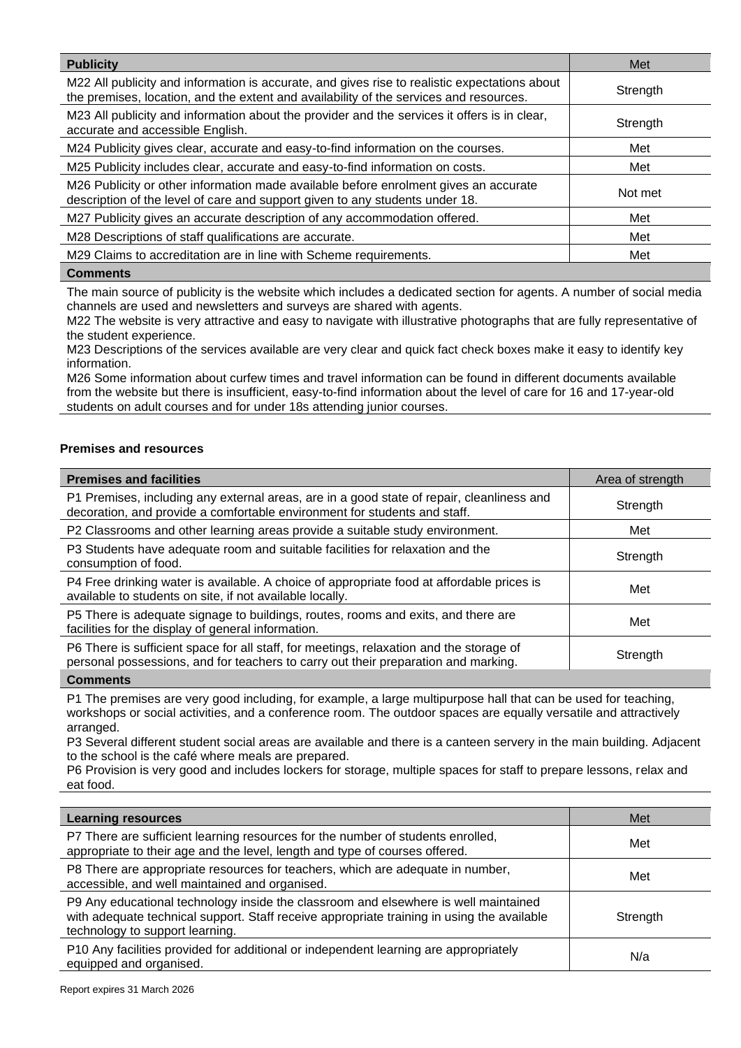| <b>Publicity</b>                                                                                                                                                                        | Met      |
|-----------------------------------------------------------------------------------------------------------------------------------------------------------------------------------------|----------|
| M22 All publicity and information is accurate, and gives rise to realistic expectations about<br>the premises, location, and the extent and availability of the services and resources. | Strength |
| M23 All publicity and information about the provider and the services it offers is in clear,<br>accurate and accessible English.                                                        | Strength |
| M24 Publicity gives clear, accurate and easy-to-find information on the courses.                                                                                                        | Met      |
| M25 Publicity includes clear, accurate and easy-to-find information on costs.                                                                                                           | Met      |
| M26 Publicity or other information made available before enrolment gives an accurate<br>description of the level of care and support given to any students under 18.                    | Not met  |
| M27 Publicity gives an accurate description of any accommodation offered.                                                                                                               | Met      |
| M28 Descriptions of staff qualifications are accurate.                                                                                                                                  | Met      |
| M29 Claims to accreditation are in line with Scheme requirements.                                                                                                                       | Met      |
| <b>Comments</b>                                                                                                                                                                         |          |

The main source of publicity is the website which includes a dedicated section for agents. A number of social media channels are used and newsletters and surveys are shared with agents.

M22 The website is very attractive and easy to navigate with illustrative photographs that are fully representative of the student experience.

M23 Descriptions of the services available are very clear and quick fact check boxes make it easy to identify key information.

M26 Some information about curfew times and travel information can be found in different documents available from the website but there is insufficient, easy-to-find information about the level of care for 16 and 17-year-old students on adult courses and for under 18s attending junior courses.

# **Premises and resources**

| <b>Premises and facilities</b>                                                                                                                                                | Area of strength |
|-------------------------------------------------------------------------------------------------------------------------------------------------------------------------------|------------------|
| P1 Premises, including any external areas, are in a good state of repair, cleanliness and<br>decoration, and provide a comfortable environment for students and staff.        | Strength         |
| P2 Classrooms and other learning areas provide a suitable study environment.                                                                                                  | Met              |
| P3 Students have adequate room and suitable facilities for relaxation and the<br>consumption of food.                                                                         | Strength         |
| P4 Free drinking water is available. A choice of appropriate food at affordable prices is<br>available to students on site, if not available locally.                         | Met              |
| P5 There is adequate signage to buildings, routes, rooms and exits, and there are<br>facilities for the display of general information.                                       | Met              |
| P6 There is sufficient space for all staff, for meetings, relaxation and the storage of<br>personal possessions, and for teachers to carry out their preparation and marking. | Strength         |
| <b>A</b> 1                                                                                                                                                                    |                  |

**Comments**

P1 The premises are very good including, for example, a large multipurpose hall that can be used for teaching, workshops or social activities, and a conference room. The outdoor spaces are equally versatile and attractively arranged.

P3 Several different student social areas are available and there is a canteen servery in the main building. Adjacent to the school is the café where meals are prepared.

P6 Provision is very good and includes lockers for storage, multiple spaces for staff to prepare lessons, relax and eat food.

| <b>Learning resources</b>                                                                                                                                                                                            | Met      |
|----------------------------------------------------------------------------------------------------------------------------------------------------------------------------------------------------------------------|----------|
| P7 There are sufficient learning resources for the number of students enrolled,<br>appropriate to their age and the level, length and type of courses offered.                                                       | Met      |
| P8 There are appropriate resources for teachers, which are adequate in number,<br>accessible, and well maintained and organised.                                                                                     | Met      |
| P9 Any educational technology inside the classroom and elsewhere is well maintained<br>with adequate technical support. Staff receive appropriate training in using the available<br>technology to support learning. | Strength |
| P10 Any facilities provided for additional or independent learning are appropriately<br>equipped and organised.                                                                                                      | N/a      |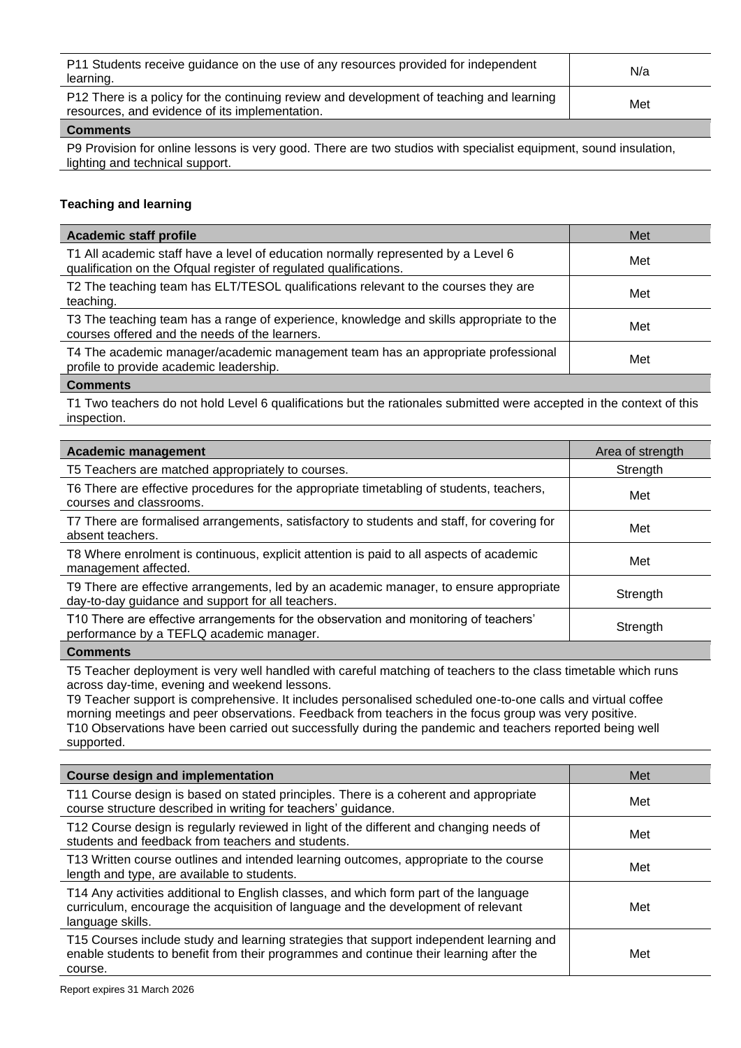| P11 Students receive guidance on the use of any resources provided for independent<br>learning.                                            | N/a |
|--------------------------------------------------------------------------------------------------------------------------------------------|-----|
| P12 There is a policy for the continuing review and development of teaching and learning<br>resources, and evidence of its implementation. | Met |
| Commonte                                                                                                                                   |     |

P9 Provision for online lessons is very good. There are two studios with specialist equipment, sound insulation, lighting and technical support.

# **Teaching and learning**

| Academic staff profile                                                                                                                                 | Met |
|--------------------------------------------------------------------------------------------------------------------------------------------------------|-----|
| T1 All academic staff have a level of education normally represented by a Level 6<br>qualification on the Ofqual register of regulated qualifications. | Met |
| T2 The teaching team has ELT/TESOL qualifications relevant to the courses they are<br>teaching.                                                        | Met |
| T3 The teaching team has a range of experience, knowledge and skills appropriate to the<br>courses offered and the needs of the learners.              | Met |
| T4 The academic manager/academic management team has an appropriate professional<br>profile to provide academic leadership.                            | Met |
| <b>Comments</b>                                                                                                                                        |     |

T1 Two teachers do not hold Level 6 qualifications but the rationales submitted were accepted in the context of this inspection.

| Academic management                                                                                                                         | Area of strength |
|---------------------------------------------------------------------------------------------------------------------------------------------|------------------|
| T5 Teachers are matched appropriately to courses.                                                                                           | Strength         |
| T6 There are effective procedures for the appropriate timetabling of students, teachers,<br>courses and classrooms.                         | Met              |
| T7 There are formalised arrangements, satisfactory to students and staff, for covering for<br>absent teachers.                              | Met              |
| T8 Where enrolment is continuous, explicit attention is paid to all aspects of academic<br>management affected.                             | Met              |
| T9 There are effective arrangements, led by an academic manager, to ensure appropriate<br>day-to-day guidance and support for all teachers. | Strength         |
| T10 There are effective arrangements for the observation and monitoring of teachers'<br>performance by a TEFLQ academic manager.            | Strength         |
| $P = 1$                                                                                                                                     |                  |

#### **Comments**

T5 Teacher deployment is very well handled with careful matching of teachers to the class timetable which runs across day-time, evening and weekend lessons.

T9 Teacher support is comprehensive. It includes personalised scheduled one-to-one calls and virtual coffee morning meetings and peer observations. Feedback from teachers in the focus group was very positive. T10 Observations have been carried out successfully during the pandemic and teachers reported being well supported.

| <b>Course design and implementation</b>                                                                                                                                                        | Met |
|------------------------------------------------------------------------------------------------------------------------------------------------------------------------------------------------|-----|
| T11 Course design is based on stated principles. There is a coherent and appropriate<br>course structure described in writing for teachers' guidance.                                          | Met |
| T12 Course design is regularly reviewed in light of the different and changing needs of<br>students and feedback from teachers and students.                                                   | Met |
| T13 Written course outlines and intended learning outcomes, appropriate to the course<br>length and type, are available to students.                                                           | Met |
| T14 Any activities additional to English classes, and which form part of the language<br>curriculum, encourage the acquisition of language and the development of relevant<br>language skills. | Met |
| T15 Courses include study and learning strategies that support independent learning and<br>enable students to benefit from their programmes and continue their learning after the<br>course.   | Met |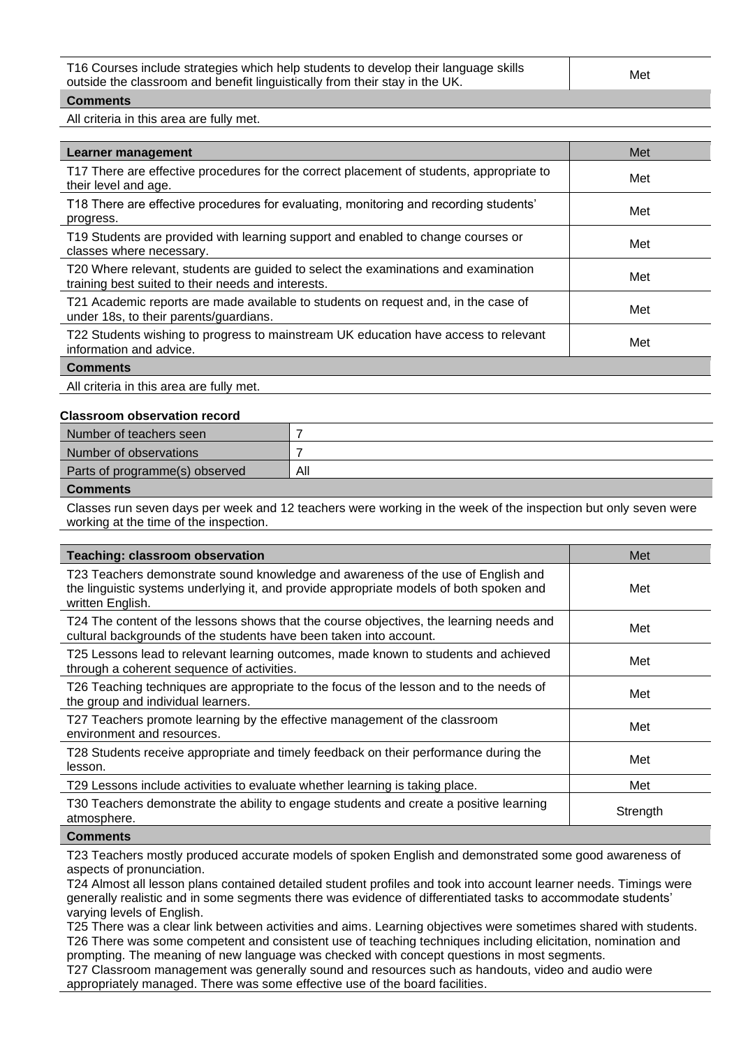| outside the classroom and benefit linguistically from their stay in the UK. | T16 Courses include strategies which help students to develop their language skills | Met |
|-----------------------------------------------------------------------------|-------------------------------------------------------------------------------------|-----|
|                                                                             |                                                                                     |     |

All criteria in this area are fully met.

| Learner management                                                                                                                       | Met |
|------------------------------------------------------------------------------------------------------------------------------------------|-----|
| T17 There are effective procedures for the correct placement of students, appropriate to<br>their level and age.                         | Met |
| T18 There are effective procedures for evaluating, monitoring and recording students'<br>progress.                                       | Met |
| T19 Students are provided with learning support and enabled to change courses or<br>classes where necessary.                             | Met |
| T20 Where relevant, students are guided to select the examinations and examination<br>training best suited to their needs and interests. | Met |
| T21 Academic reports are made available to students on request and, in the case of<br>under 18s, to their parents/guardians.             | Met |
| T22 Students wishing to progress to mainstream UK education have access to relevant<br>information and advice.                           | Met |
| <b>Comments</b>                                                                                                                          |     |

All criteria in this area are fully met.

## **Classroom observation record**

| Number of teachers seen        |     |
|--------------------------------|-----|
| Number of observations         |     |
| Parts of programme(s) observed | All |
| Commonte                       |     |

#### **Comments**

Classes run seven days per week and 12 teachers were working in the week of the inspection but only seven were working at the time of the inspection.

| <b>Teaching: classroom observation</b>                                                                                                                                                          | Met      |
|-------------------------------------------------------------------------------------------------------------------------------------------------------------------------------------------------|----------|
| T23 Teachers demonstrate sound knowledge and awareness of the use of English and<br>the linguistic systems underlying it, and provide appropriate models of both spoken and<br>written English. | Met      |
| T24 The content of the lessons shows that the course objectives, the learning needs and<br>cultural backgrounds of the students have been taken into account.                                   | Met      |
| T25 Lessons lead to relevant learning outcomes, made known to students and achieved<br>through a coherent sequence of activities.                                                               | Met      |
| T26 Teaching techniques are appropriate to the focus of the lesson and to the needs of<br>the group and individual learners.                                                                    | Met      |
| T27 Teachers promote learning by the effective management of the classroom<br>environment and resources.                                                                                        | Met      |
| T28 Students receive appropriate and timely feedback on their performance during the<br>lesson.                                                                                                 | Met      |
| T29 Lessons include activities to evaluate whether learning is taking place.                                                                                                                    | Met      |
| T30 Teachers demonstrate the ability to engage students and create a positive learning<br>atmosphere.                                                                                           | Strength |
| $P = 1$                                                                                                                                                                                         |          |

#### **Comments**

T23 Teachers mostly produced accurate models of spoken English and demonstrated some good awareness of aspects of pronunciation.

T24 Almost all lesson plans contained detailed student profiles and took into account learner needs. Timings were generally realistic and in some segments there was evidence of differentiated tasks to accommodate students' varying levels of English.

T25 There was a clear link between activities and aims. Learning objectives were sometimes shared with students. T26 There was some competent and consistent use of teaching techniques including elicitation, nomination and prompting. The meaning of new language was checked with concept questions in most segments.

T27 Classroom management was generally sound and resources such as handouts, video and audio were appropriately managed. There was some effective use of the board facilities.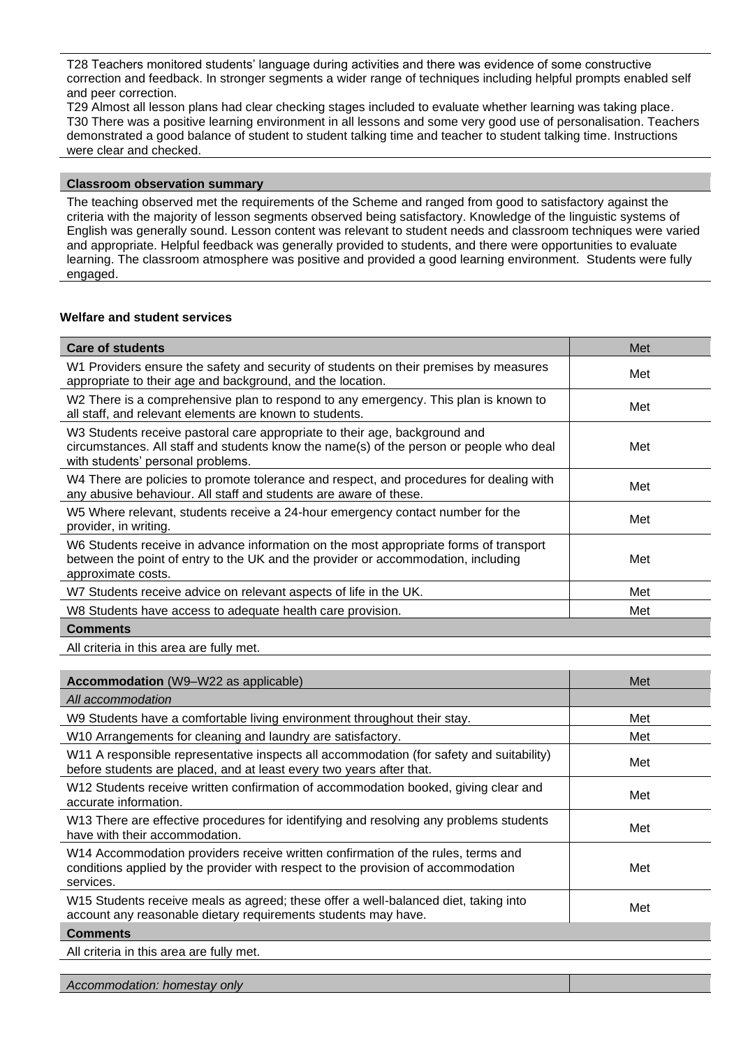T28 Teachers monitored students' language during activities and there was evidence of some constructive correction and feedback. In stronger segments a wider range of techniques including helpful prompts enabled self and peer correction.

T29 Almost all lesson plans had clear checking stages included to evaluate whether learning was taking place. T30 There was a positive learning environment in all lessons and some very good use of personalisation. Teachers demonstrated a good balance of student to student talking time and teacher to student talking time. Instructions were clear and checked.

# **Classroom observation summary**

The teaching observed met the requirements of the Scheme and ranged from good to satisfactory against the criteria with the majority of lesson segments observed being satisfactory. Knowledge of the linguistic systems of English was generally sound. Lesson content was relevant to student needs and classroom techniques were varied and appropriate. Helpful feedback was generally provided to students, and there were opportunities to evaluate learning. The classroom atmosphere was positive and provided a good learning environment. Students were fully engaged.

# **Welfare and student services**

| <b>Care of students</b>                                                                                                                                                                                    | Met |
|------------------------------------------------------------------------------------------------------------------------------------------------------------------------------------------------------------|-----|
| W1 Providers ensure the safety and security of students on their premises by measures<br>appropriate to their age and background, and the location.                                                        | Met |
| W2 There is a comprehensive plan to respond to any emergency. This plan is known to<br>all staff, and relevant elements are known to students.                                                             | Met |
| W3 Students receive pastoral care appropriate to their age, background and<br>circumstances. All staff and students know the name(s) of the person or people who deal<br>with students' personal problems. | Met |
| W4 There are policies to promote tolerance and respect, and procedures for dealing with<br>any abusive behaviour. All staff and students are aware of these.                                               | Met |
| W5 Where relevant, students receive a 24-hour emergency contact number for the<br>provider, in writing.                                                                                                    | Met |
| W6 Students receive in advance information on the most appropriate forms of transport<br>between the point of entry to the UK and the provider or accommodation, including<br>approximate costs.           | Met |
| W7 Students receive advice on relevant aspects of life in the UK.                                                                                                                                          | Met |
| W8 Students have access to adequate health care provision.                                                                                                                                                 | Met |
| <b>Comments</b>                                                                                                                                                                                            |     |

All criteria in this area are fully met.

| <b>Accommodation</b> (W9-W22 as applicable)                                                                                                                                        | Met |
|------------------------------------------------------------------------------------------------------------------------------------------------------------------------------------|-----|
| All accommodation                                                                                                                                                                  |     |
| W9 Students have a comfortable living environment throughout their stay.                                                                                                           | Met |
| W10 Arrangements for cleaning and laundry are satisfactory.                                                                                                                        | Met |
| W11 A responsible representative inspects all accommodation (for safety and suitability)<br>before students are placed, and at least every two years after that.                   | Met |
| W12 Students receive written confirmation of accommodation booked, giving clear and<br>accurate information.                                                                       | Met |
| W13 There are effective procedures for identifying and resolving any problems students<br>have with their accommodation.                                                           | Met |
| W14 Accommodation providers receive written confirmation of the rules, terms and<br>conditions applied by the provider with respect to the provision of accommodation<br>services. | Met |
| W15 Students receive meals as agreed; these offer a well-balanced diet, taking into<br>account any reasonable dietary requirements students may have.                              | Met |
| <b>Comments</b>                                                                                                                                                                    |     |

All criteria in this area are fully met.

*Accommodation: homestay only*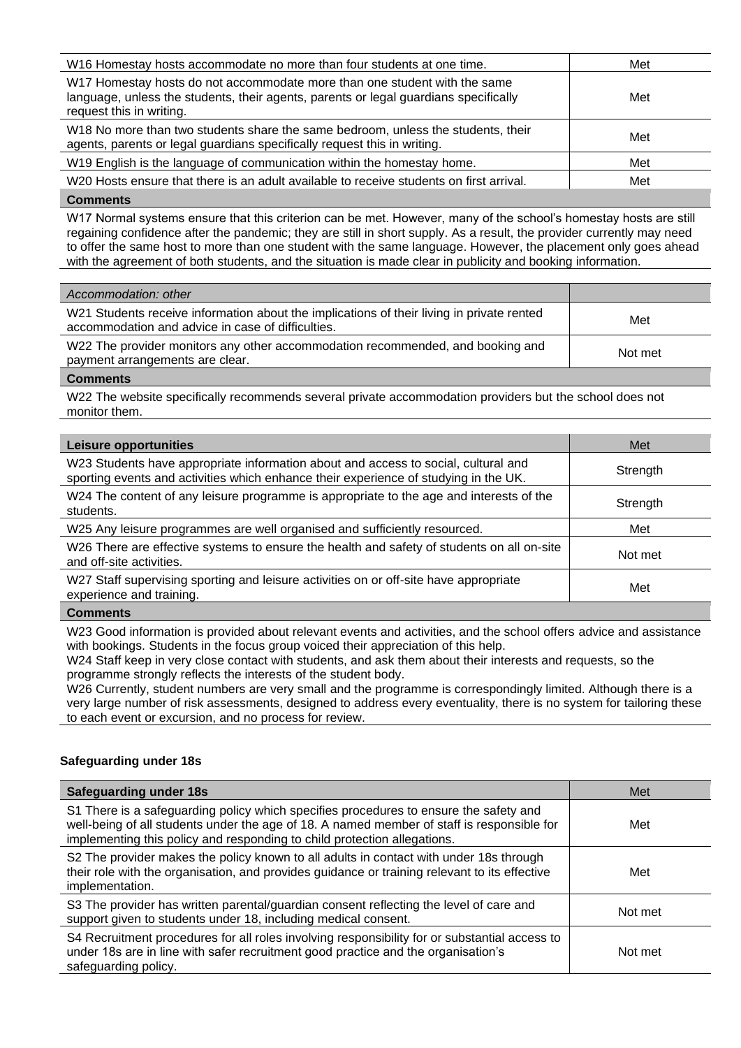| W16 Homestay hosts accommodate no more than four students at one time.                                                                                                                        | Met |
|-----------------------------------------------------------------------------------------------------------------------------------------------------------------------------------------------|-----|
| W17 Homestay hosts do not accommodate more than one student with the same<br>language, unless the students, their agents, parents or legal guardians specifically<br>request this in writing. | Met |
| W18 No more than two students share the same bedroom, unless the students, their<br>agents, parents or legal guardians specifically request this in writing.                                  | Met |
| W19 English is the language of communication within the homestay home.                                                                                                                        | Met |
| W20 Hosts ensure that there is an adult available to receive students on first arrival.                                                                                                       | Met |

W17 Normal systems ensure that this criterion can be met. However, many of the school's homestay hosts are still regaining confidence after the pandemic; they are still in short supply. As a result, the provider currently may need to offer the same host to more than one student with the same language. However, the placement only goes ahead with the agreement of both students, and the situation is made clear in publicity and booking information.

| Accommodation: other                                                                                                                           |         |
|------------------------------------------------------------------------------------------------------------------------------------------------|---------|
| W21 Students receive information about the implications of their living in private rented<br>accommodation and advice in case of difficulties. | Met     |
| W22 The provider monitors any other accommodation recommended, and booking and<br>payment arrangements are clear.                              | Not met |
|                                                                                                                                                |         |

## **Comments**

W22 The website specifically recommends several private accommodation providers but the school does not monitor them.

| <b>Leisure opportunities</b>                                                                                                                                               | Met      |
|----------------------------------------------------------------------------------------------------------------------------------------------------------------------------|----------|
| W23 Students have appropriate information about and access to social, cultural and<br>sporting events and activities which enhance their experience of studying in the UK. | Strength |
| W24 The content of any leisure programme is appropriate to the age and interests of the<br>students.                                                                       | Strength |
| W25 Any leisure programmes are well organised and sufficiently resourced.                                                                                                  | Met      |
| W26 There are effective systems to ensure the health and safety of students on all on-site<br>and off-site activities.                                                     | Not met  |
| W27 Staff supervising sporting and leisure activities on or off-site have appropriate<br>experience and training.                                                          | Met      |
| <b>Comments</b>                                                                                                                                                            |          |

W23 Good information is provided about relevant events and activities, and the school offers advice and assistance with bookings. Students in the focus group voiced their appreciation of this help.

W24 Staff keep in very close contact with students, and ask them about their interests and requests, so the programme strongly reflects the interests of the student body.

W26 Currently, student numbers are very small and the programme is correspondingly limited. Although there is a very large number of risk assessments, designed to address every eventuality, there is no system for tailoring these to each event or excursion, and no process for review.

# **Safeguarding under 18s**

| <b>Safeguarding under 18s</b>                                                                                                                                                                                                                                   | Met     |
|-----------------------------------------------------------------------------------------------------------------------------------------------------------------------------------------------------------------------------------------------------------------|---------|
| S1 There is a safeguarding policy which specifies procedures to ensure the safety and<br>well-being of all students under the age of 18. A named member of staff is responsible for<br>implementing this policy and responding to child protection allegations. | Met     |
| S2 The provider makes the policy known to all adults in contact with under 18s through<br>their role with the organisation, and provides guidance or training relevant to its effective<br>implementation.                                                      | Met     |
| S3 The provider has written parental/guardian consent reflecting the level of care and<br>support given to students under 18, including medical consent.                                                                                                        | Not met |
| S4 Recruitment procedures for all roles involving responsibility for or substantial access to<br>under 18s are in line with safer recruitment good practice and the organisation's<br>safeguarding policy.                                                      | Not met |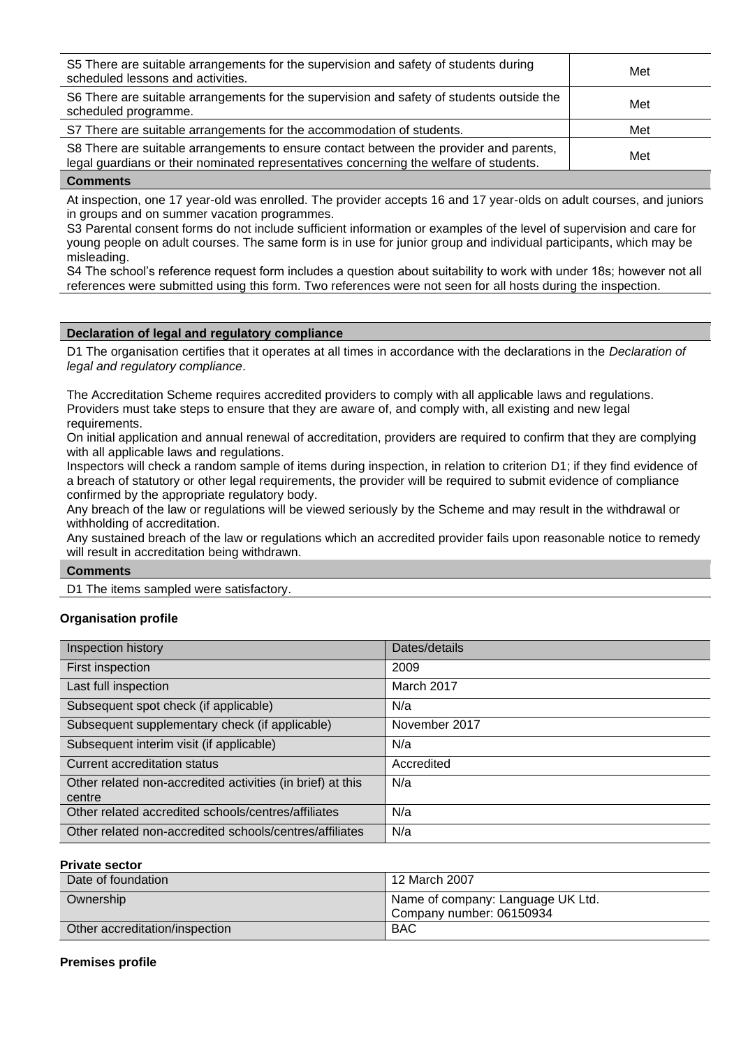| S5 There are suitable arrangements for the supervision and safety of students during<br>scheduled lessons and activities.                                                        | Met |
|----------------------------------------------------------------------------------------------------------------------------------------------------------------------------------|-----|
| S6 There are suitable arrangements for the supervision and safety of students outside the<br>scheduled programme.                                                                | Met |
| S7 There are suitable arrangements for the accommodation of students.                                                                                                            | Met |
| S8 There are suitable arrangements to ensure contact between the provider and parents,<br>legal guardians or their nominated representatives concerning the welfare of students. | Met |

At inspection, one 17 year-old was enrolled. The provider accepts 16 and 17 year-olds on adult courses, and juniors in groups and on summer vacation programmes.

S3 Parental consent forms do not include sufficient information or examples of the level of supervision and care for young people on adult courses. The same form is in use for junior group and individual participants, which may be misleading.

S4 The school's reference request form includes a question about suitability to work with under 18s; however not all references were submitted using this form. Two references were not seen for all hosts during the inspection.

## **Declaration of legal and regulatory compliance**

D1 The organisation certifies that it operates at all times in accordance with the declarations in the *Declaration of legal and regulatory compliance*.

The Accreditation Scheme requires accredited providers to comply with all applicable laws and regulations. Providers must take steps to ensure that they are aware of, and comply with, all existing and new legal requirements.

On initial application and annual renewal of accreditation, providers are required to confirm that they are complying with all applicable laws and regulations.

Inspectors will check a random sample of items during inspection, in relation to criterion D1; if they find evidence of a breach of statutory or other legal requirements, the provider will be required to submit evidence of compliance confirmed by the appropriate regulatory body.

Any breach of the law or regulations will be viewed seriously by the Scheme and may result in the withdrawal or withholding of accreditation.

Any sustained breach of the law or regulations which an accredited provider fails upon reasonable notice to remedy will result in accreditation being withdrawn.

#### **Comments**

D1 The items sampled were satisfactory.

# **Organisation profile**

| Inspection history                                                   | Dates/details |
|----------------------------------------------------------------------|---------------|
| First inspection                                                     | 2009          |
| Last full inspection                                                 | March 2017    |
| Subsequent spot check (if applicable)                                | N/a           |
| Subsequent supplementary check (if applicable)                       | November 2017 |
| Subsequent interim visit (if applicable)                             | N/a           |
| Current accreditation status                                         | Accredited    |
| Other related non-accredited activities (in brief) at this<br>centre | N/a           |
| Other related accredited schools/centres/affiliates                  | N/a           |
| Other related non-accredited schools/centres/affiliates              | N/a           |

**Private sector** 

| Date of foundation             | 12 March 2007                                                 |
|--------------------------------|---------------------------------------------------------------|
| Ownership                      | Name of company: Language UK Ltd.<br>Company number: 06150934 |
| Other accreditation/inspection | <b>BAC</b>                                                    |

# **Premises profile**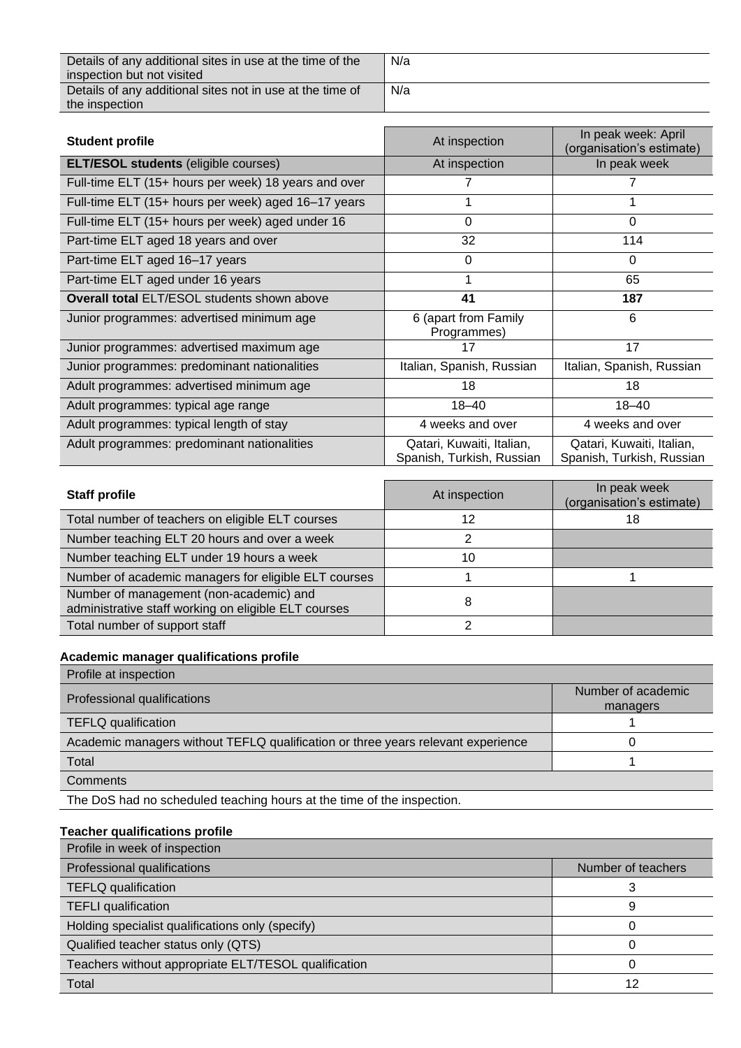Details of any additional sites in use at the time of the inspection but not visited Details of any additional sites not in use at the time of the inspection

N/a N/a

| <b>Student profile</b>                               | At inspection                                          | In peak week: April<br>(organisation's estimate)       |
|------------------------------------------------------|--------------------------------------------------------|--------------------------------------------------------|
| <b>ELT/ESOL students (eligible courses)</b>          | At inspection                                          | In peak week                                           |
| Full-time ELT (15+ hours per week) 18 years and over |                                                        |                                                        |
| Full-time ELT (15+ hours per week) aged 16-17 years  |                                                        |                                                        |
| Full-time ELT (15+ hours per week) aged under 16     | $\Omega$                                               | $\Omega$                                               |
| Part-time ELT aged 18 years and over                 | 32                                                     | 114                                                    |
| Part-time ELT aged 16-17 years                       | 0                                                      | $\Omega$                                               |
| Part-time ELT aged under 16 years                    |                                                        | 65                                                     |
| <b>Overall total ELT/ESOL students shown above</b>   | 41                                                     | 187                                                    |
| Junior programmes: advertised minimum age            | 6 (apart from Family<br>Programmes)                    | 6                                                      |
| Junior programmes: advertised maximum age            | 17                                                     | 17                                                     |
| Junior programmes: predominant nationalities         | Italian, Spanish, Russian                              | Italian, Spanish, Russian                              |
| Adult programmes: advertised minimum age             | 18                                                     | 18                                                     |
| Adult programmes: typical age range                  | $18 - 40$                                              | $18 - 40$                                              |
| Adult programmes: typical length of stay             | 4 weeks and over                                       | 4 weeks and over                                       |
| Adult programmes: predominant nationalities          | Qatari, Kuwaiti, Italian,<br>Spanish, Turkish, Russian | Qatari, Kuwaiti, Italian,<br>Spanish, Turkish, Russian |

| <b>Staff profile</b>                                                                            | At inspection | In peak week<br>(organisation's estimate) |
|-------------------------------------------------------------------------------------------------|---------------|-------------------------------------------|
| Total number of teachers on eligible ELT courses                                                | 12            | 18                                        |
| Number teaching ELT 20 hours and over a week                                                    | 2             |                                           |
| Number teaching ELT under 19 hours a week                                                       | 10            |                                           |
| Number of academic managers for eligible ELT courses                                            |               |                                           |
| Number of management (non-academic) and<br>administrative staff working on eligible ELT courses | 8             |                                           |
| Total number of support staff                                                                   |               |                                           |

# **Academic manager qualifications profile**

| Profile at inspection                                                            |                                |
|----------------------------------------------------------------------------------|--------------------------------|
| Professional qualifications                                                      | Number of academic<br>managers |
| <b>TEFLQ</b> qualification                                                       |                                |
| Academic managers without TEFLQ qualification or three years relevant experience |                                |
| Total                                                                            |                                |
| Comments                                                                         |                                |

The DoS had no scheduled teaching hours at the time of the inspection.

# **Teacher qualifications profile**

| Profile in week of inspection                        |                    |
|------------------------------------------------------|--------------------|
| Professional qualifications                          | Number of teachers |
| <b>TEFLQ</b> qualification                           |                    |
| <b>TEFLI</b> qualification                           | 9                  |
| Holding specialist qualifications only (specify)     |                    |
| Qualified teacher status only (QTS)                  |                    |
| Teachers without appropriate ELT/TESOL qualification |                    |
| Total                                                | 12                 |